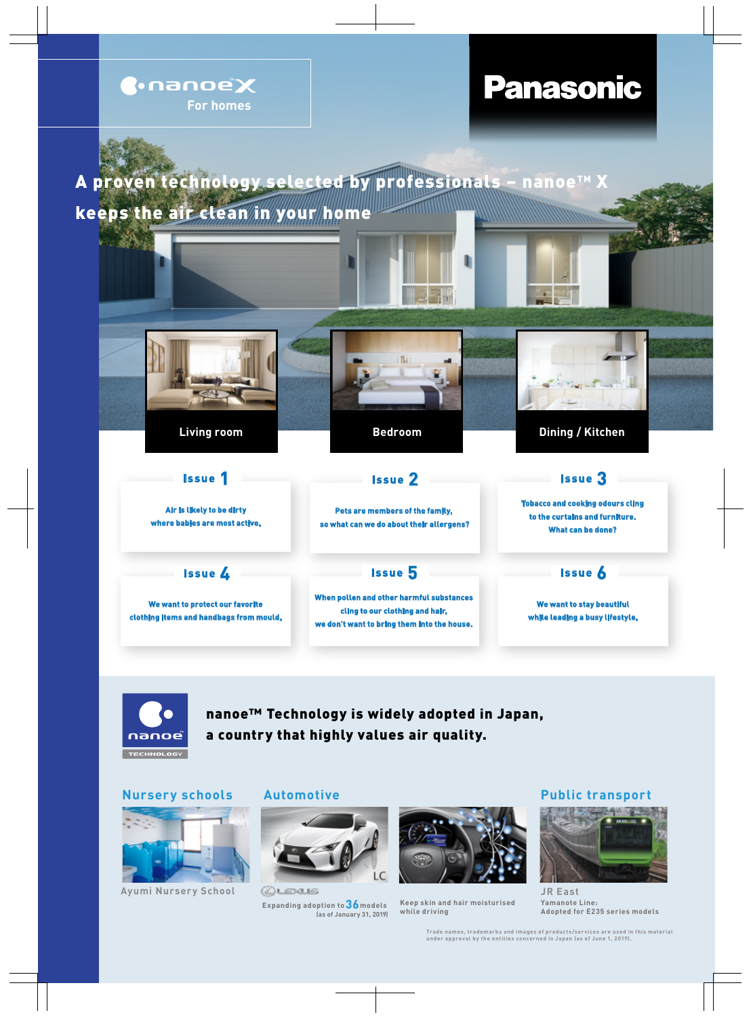



nanoe™ Technology is widely adopted in Japan, a country that highly values air quality.

## **Nursery schools**



**Ayumi Nursery School**

### **Automotive**



Quexus **Expanding adoption to 36models (as of January 31, 2019)**



**Keep skin and hair moisturised while driving** 

# **Public transport**



**JR East Yamanote Line: Adopted for E235 series models**

**Trade names, trademarks and images of products/services are used in this material under approval by the entities concerned in Japan (as of June 1, 2019).**